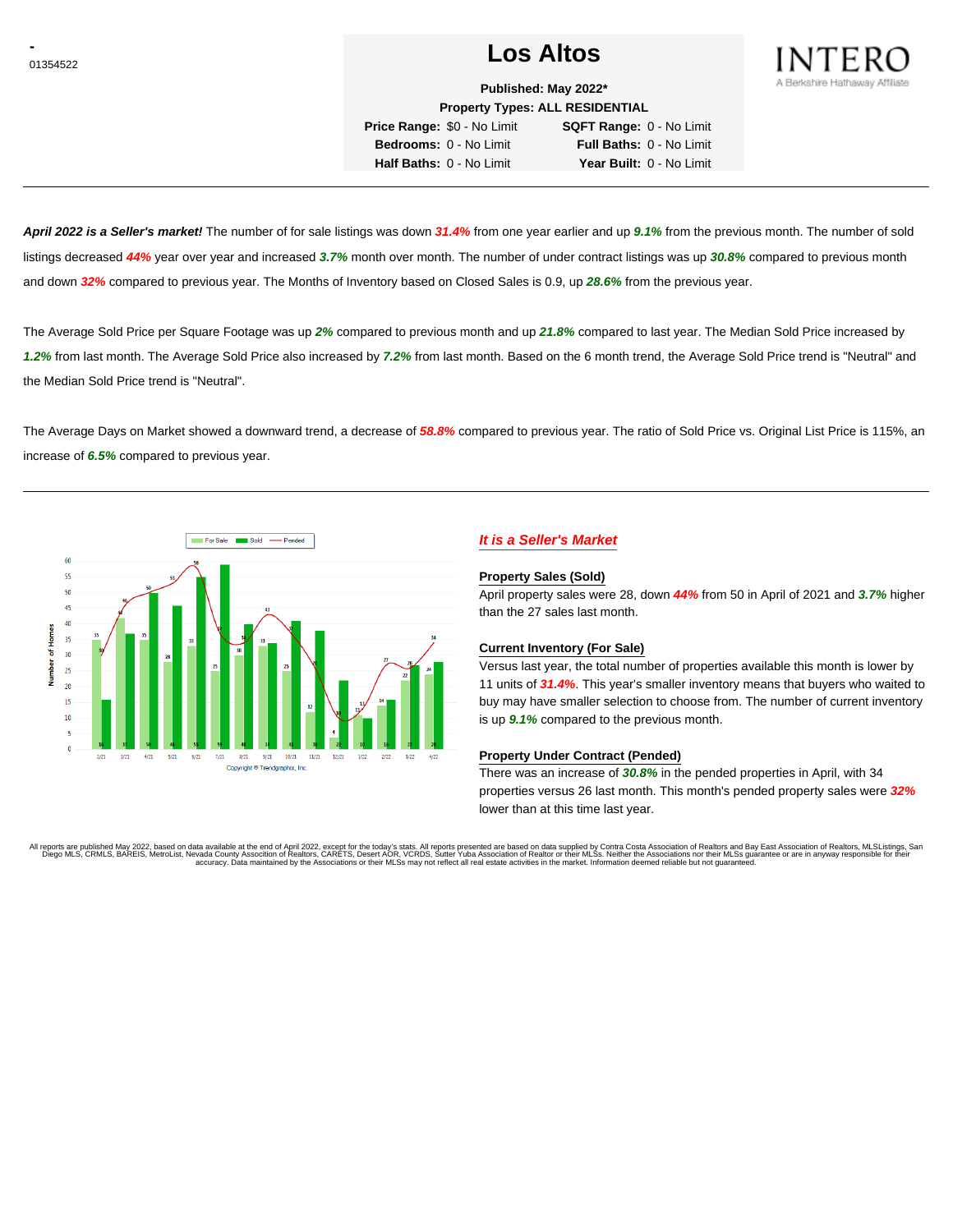# <sup>01354522</sup> **Los Altos**



**Published: May 2022\* Property Types: ALL RESIDENTIAL**

**Price Range:** \$0 - No Limit **SQFT Range:** 0 - No Limit **Bedrooms:** 0 - No Limit **Full Baths:** 0 - No Limit **Half Baths:** 0 - No Limit **Year Built:** 0 - No Limit

**April 2022 is a Seller's market!** The number of for sale listings was down **31.4%** from one year earlier and up **9.1%** from the previous month. The number of sold listings decreased **44%** year over year and increased **3.7%** month over month. The number of under contract listings was up **30.8%** compared to previous month and down **32%** compared to previous year. The Months of Inventory based on Closed Sales is 0.9, up **28.6%** from the previous year.

The Average Sold Price per Square Footage was up **2%** compared to previous month and up **21.8%** compared to last year. The Median Sold Price increased by **1.2%** from last month. The Average Sold Price also increased by **7.2%** from last month. Based on the 6 month trend, the Average Sold Price trend is "Neutral" and the Median Sold Price trend is "Neutral".

The Average Days on Market showed a downward trend, a decrease of **58.8%** compared to previous year. The ratio of Sold Price vs. Original List Price is 115%, an increase of **6.5%** compared to previous year.



# **It is a Seller's Market**

#### **Property Sales (Sold)**

April property sales were 28, down **44%** from 50 in April of 2021 and **3.7%** higher than the 27 sales last month.

### **Current Inventory (For Sale)**

Versus last year, the total number of properties available this month is lower by 11 units of **31.4%**. This year's smaller inventory means that buyers who waited to buy may have smaller selection to choose from. The number of current inventory is up **9.1%** compared to the previous month.

### **Property Under Contract (Pended)**

There was an increase of **30.8%** in the pended properties in April, with 34 properties versus 26 last month. This month's pended property sales were **32%** lower than at this time last year.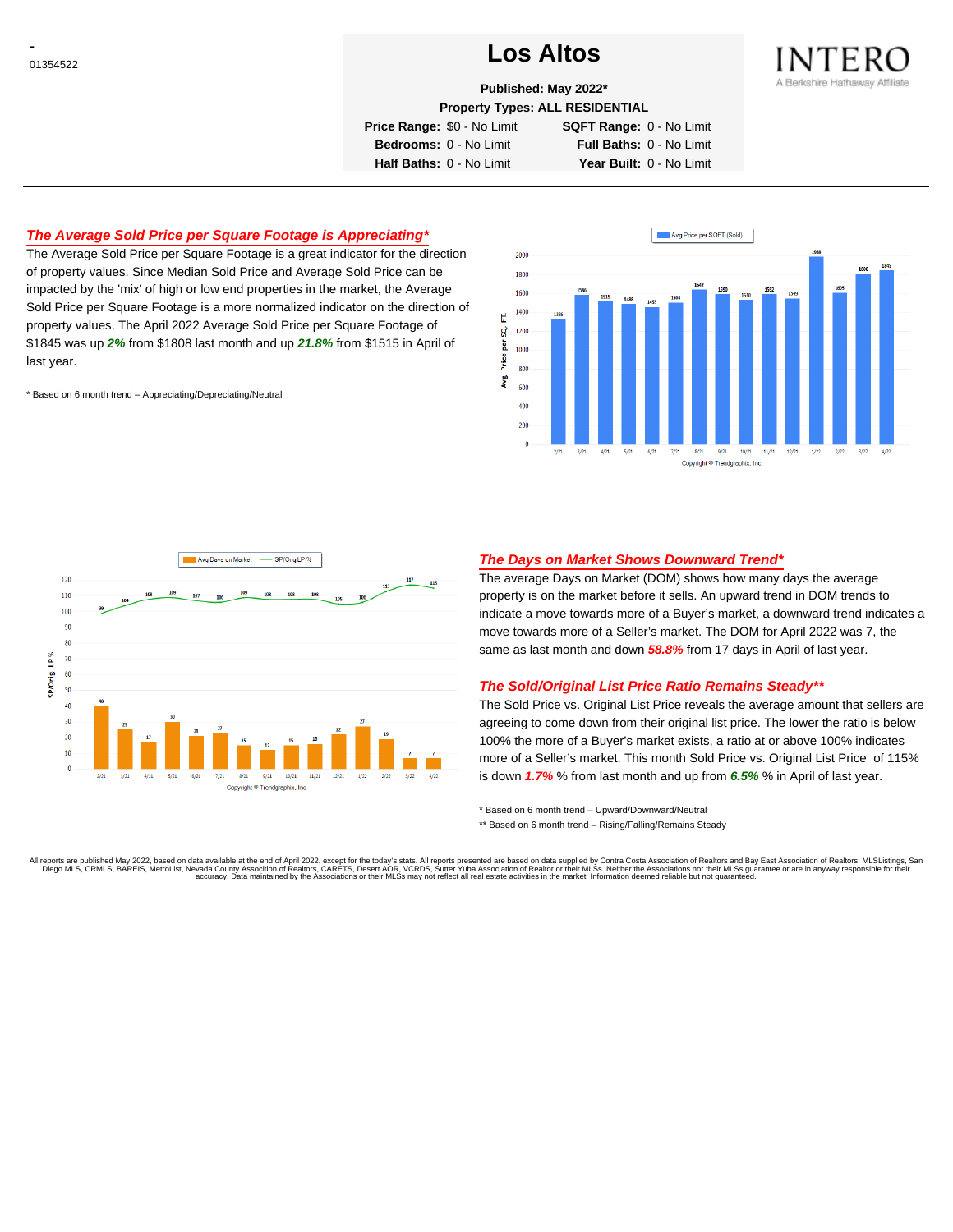# <sup>01354522</sup> **Los Altos**



**Published: May 2022\***

**Property Types: ALL RESIDENTIAL**

**Price Range:** \$0 - No Limit **SQFT Range:** 0 - No Limit

**Bedrooms:** 0 - No Limit **Full Baths:** 0 - No Limit **Half Baths:** 0 - No Limit **Year Built:** 0 - No Limit

## **The Average Sold Price per Square Footage is Appreciating\***

The Average Sold Price per Square Footage is a great indicator for the direction of property values. Since Median Sold Price and Average Sold Price can be impacted by the 'mix' of high or low end properties in the market, the Average Sold Price per Square Footage is a more normalized indicator on the direction of property values. The April 2022 Average Sold Price per Square Footage of \$1845 was up **2%** from \$1808 last month and up **21.8%** from \$1515 in April of last year.

\* Based on 6 month trend – Appreciating/Depreciating/Neutral





## **The Days on Market Shows Downward Trend\***

The average Days on Market (DOM) shows how many days the average property is on the market before it sells. An upward trend in DOM trends to indicate a move towards more of a Buyer's market, a downward trend indicates a move towards more of a Seller's market. The DOM for April 2022 was 7, the same as last month and down **58.8%** from 17 days in April of last year.

### **The Sold/Original List Price Ratio Remains Steady\*\***

The Sold Price vs. Original List Price reveals the average amount that sellers are agreeing to come down from their original list price. The lower the ratio is below 100% the more of a Buyer's market exists, a ratio at or above 100% indicates more of a Seller's market. This month Sold Price vs. Original List Price of 115% is down **1.7%** % from last month and up from **6.5%** % in April of last year.

\* Based on 6 month trend – Upward/Downward/Neutral

\*\* Based on 6 month trend - Rising/Falling/Remains Steady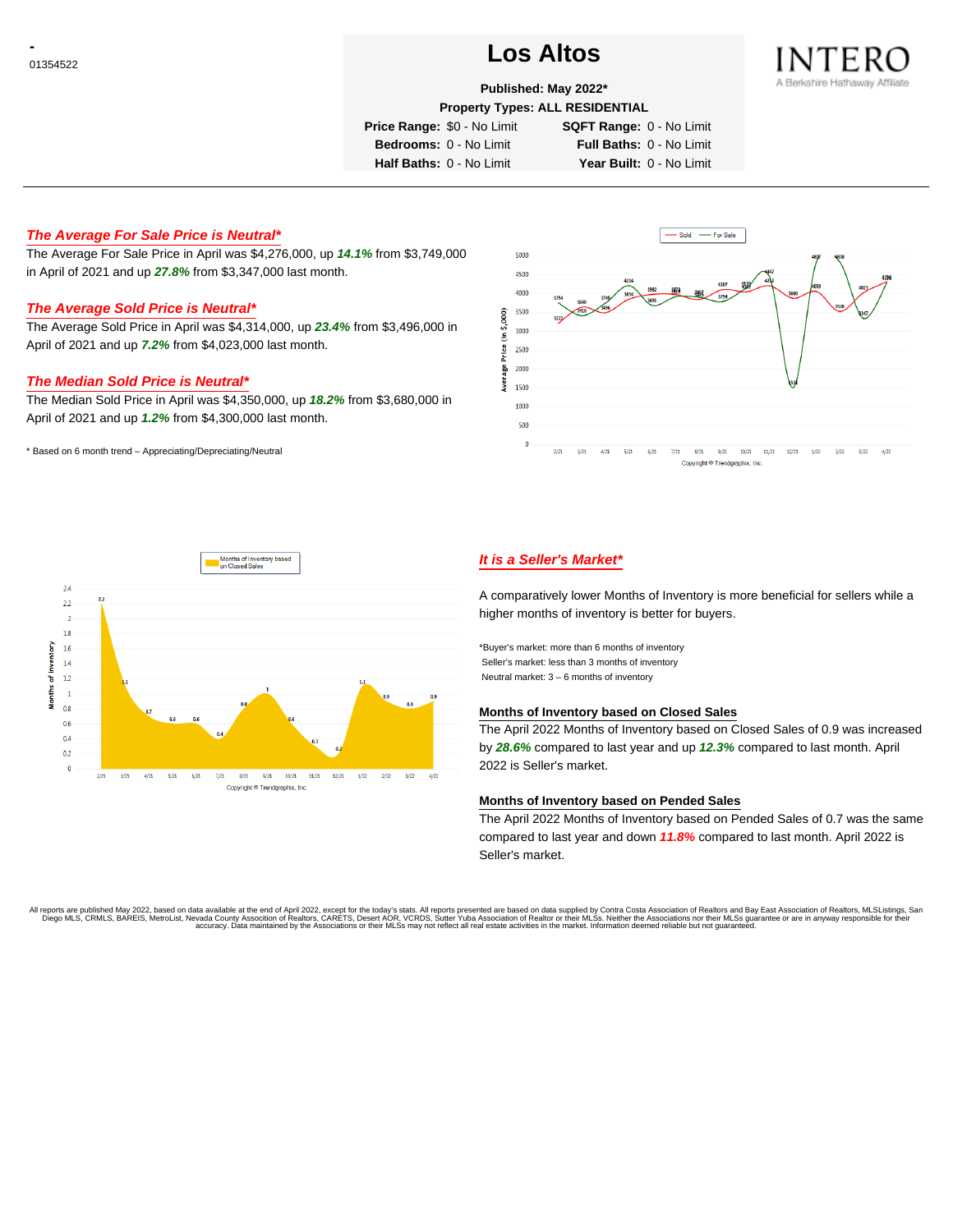# <sup>01354522</sup> **Los Altos**



# **Published: May 2022\***

**Property Types: ALL RESIDENTIAL**

**Price Range:** \$0 - No Limit **SQFT Range:** 0 - No Limit

**Bedrooms:** 0 - No Limit **Full Baths:** 0 - No Limit **Half Baths:** 0 - No Limit **Year Built:** 0 - No Limit

**The Average For Sale Price is Neutral\***

The Average For Sale Price in April was \$4,276,000, up **14.1%** from \$3,749,000 in April of 2021 and up **27.8%** from \$3,347,000 last month.

# **The Average Sold Price is Neutral\***

The Average Sold Price in April was \$4,314,000, up **23.4%** from \$3,496,000 in April of 2021 and up **7.2%** from \$4,023,000 last month.

#### **The Median Sold Price is Neutral\***

The Median Sold Price in April was \$4,350,000, up **18.2%** from \$3,680,000 in April of 2021 and up **1.2%** from \$4,300,000 last month.

\* Based on 6 month trend – Appreciating/Depreciating/Neutral





## **It is a Seller's Market\***

A comparatively lower Months of Inventory is more beneficial for sellers while a higher months of inventory is better for buyers.

\*Buyer's market: more than 6 months of inventory Seller's market: less than 3 months of inventory Neutral market: 3 – 6 months of inventory

#### **Months of Inventory based on Closed Sales**

The April 2022 Months of Inventory based on Closed Sales of 0.9 was increased by **28.6%** compared to last year and up **12.3%** compared to last month. April 2022 is Seller's market.

### **Months of Inventory based on Pended Sales**

The April 2022 Months of Inventory based on Pended Sales of 0.7 was the same compared to last year and down **11.8%** compared to last month. April 2022 is Seller's market.